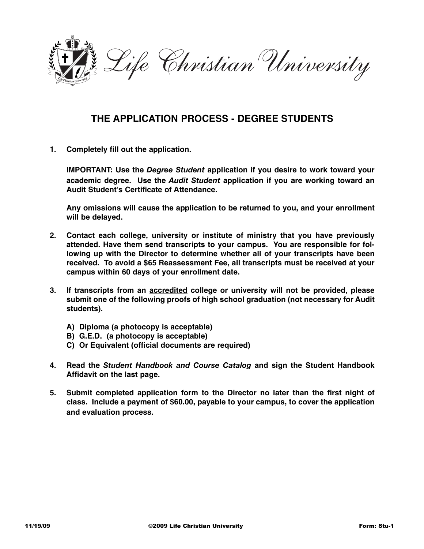

## **THE APPLICATION PROCESS - DEGREE STUDENTS**

**1. Completely fill out the application.** 

**IMPORTANT: Use the** *Degree Student* **application if you desire to work toward your academic degree. Use the** *Audit Student* **application if you are working toward an Audit Student's Certificate of Attendance.** 

**Any omissions will cause the application to be returned to you, and your enrollment will be delayed.**

- **2. Contact each college, university or institute of ministry that you have previously attended. Have them send transcripts to your campus. You are responsible for following up with the Director to determine whether all of your transcripts have been received. To avoid a \$65 Reassessment Fee, all transcripts must be received at your campus within 60 days of your enrollment date.**
- **3. If transcripts from an accredited college or university will not be provided, please submit one of the following proofs of high school graduation (not necessary for Audit students).** 
	- **A) Diploma (a photocopy is acceptable)**
	- **B) G.E.D. (a photocopy is acceptable)**
	- **C) Or Equivalent (official documents are required)**
- **4. Read the** *Student Handbook and Course Catalog* **and sign the Student Handbook Affidavit on the last page.**
- **5. Submit completed application form to the Director no later than the first night of class. Include a payment of \$60.00, payable to your campus, to cover the application and evaluation process.**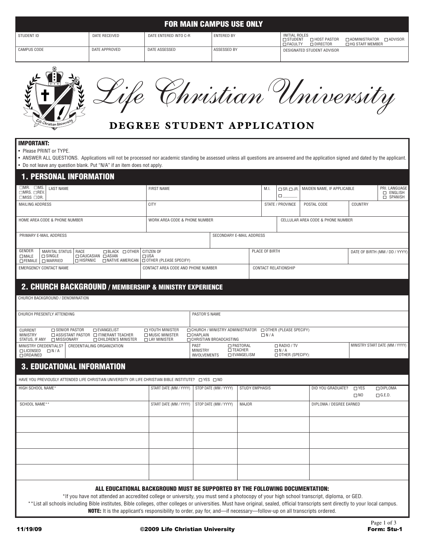|                   |               |                            | <b>FOR MAIN CAMPUS USE ONLY</b> |                                                                                                                                      |                   |
|-------------------|---------------|----------------------------|---------------------------------|--------------------------------------------------------------------------------------------------------------------------------------|-------------------|
| STUDENT ID        | DATE RECEIVED | DATE ENTERED INTO C-R      | <b>ENTERED BY</b>               | <b>INITIAL ROLES</b><br>$\square$ STUDENT $\square$ HOST PASTOR $\square$ ADMINISTRATOR $\square$ ADVISOR<br>□ FACULTY<br>□ DIRECTOR | □ HQ STAFF MEMBER |
| CAMPUS CODE       | DATE APPROVED | DATE ASSESSED              | ASSESSED BY                     | DESIGNATED STUDENT ADVISOR                                                                                                           |                   |
|                   |               |                            |                                 |                                                                                                                                      |                   |
| EART              |               |                            |                                 | Christian University                                                                                                                 |                   |
|                   |               |                            |                                 |                                                                                                                                      |                   |
| Christian Univers |               | DEGREE STUDENT APPLICATION |                                 |                                                                                                                                      |                   |



# **DEGREE STUDENT APPLICATION**

#### **MPORTANT:**

| STUDENT ID                                                                                                                                      | DATE RECEIVED                                                                                   | DATE ENTERED INTO C-R                                                                                                                                                                                      | <b>FOR MAIN CAMPUS USE ONLY</b><br><b>ENTERED BY</b>      |                                                      | <b>INITIAL ROLES</b>                                                                                                                       |                                                     |                            |                                                                |  |  |
|-------------------------------------------------------------------------------------------------------------------------------------------------|-------------------------------------------------------------------------------------------------|------------------------------------------------------------------------------------------------------------------------------------------------------------------------------------------------------------|-----------------------------------------------------------|------------------------------------------------------|--------------------------------------------------------------------------------------------------------------------------------------------|-----------------------------------------------------|----------------------------|----------------------------------------------------------------|--|--|
| CAMPUS CODE                                                                                                                                     | DATE APPROVED                                                                                   | DATE ASSESSED                                                                                                                                                                                              | ASSESSED BY                                               |                                                      | □ STUDENT<br>□ HOST PASTOR<br>□ ADMINISTRATOR □ ADVISOR<br>□ FACULTY<br>□ HQ STAFF MEMBER<br>$\Box$ DIRECTOR<br>DESIGNATED STUDENT ADVISOR |                                                     |                            |                                                                |  |  |
| <sup>le</sup> Christian Univers<br><b>IMPORTANT:</b>                                                                                            |                                                                                                 | DEGREE STUDENT APPLICATION                                                                                                                                                                                 | Christian University                                      |                                                      |                                                                                                                                            |                                                     |                            |                                                                |  |  |
| • Please PRINT or TYPE.<br><b>1. PERSONAL INFORMATION</b><br>$\Box$ MR. $\Box$ MS.<br><b>LAST NAME</b><br>□MRS. □REV.<br>$\Box$ MISS $\Box$ DR. | • Do not leave any question blank. Put "N/A" if an item does not apply.                         | • ANSWER ALL QUESTIONS. Applications will not be processed nor academic standing be assessed unless all questions are answered and the application signed and dated by the applicant.<br><b>FIRST NAME</b> |                                                           | M.I.                                                 | $\Box$ SR. $\Box$ JR.<br>Ω.                                                                                                                | MAIDEN NAME, IF APPLICABLE                          |                            | PRI. LANGUAGE<br><b>D</b> ENGLISH<br>$\overline{\Box}$ SPANISH |  |  |
| <b>MAILING ADDRESS</b>                                                                                                                          |                                                                                                 | <b>CITY</b>                                                                                                                                                                                                |                                                           |                                                      | STATE / PROVINCE                                                                                                                           | POSTAL CODE                                         | COUNTRY                    |                                                                |  |  |
|                                                                                                                                                 | HOME AREA CODE & PHONE NUMBER                                                                   |                                                                                                                                                                                                            | WORK AREA CODE & PHONE NUMBER                             |                                                      |                                                                                                                                            | CELLULAR AREA CODE & PHONE NUMBER                   |                            |                                                                |  |  |
| PRIMARY E-MAIL ADDRESS<br>GENDER<br>MARITAL STATUS<br>$\Box$ SINGLE<br>$\Box$ MALE<br>$\Box$ FEMALE<br>$\Box$ MARRIED                           | □ BLACK □ OTHER   CITIZEN OF<br>  RACE<br>□ CAUCASIAN □ ASIAN<br>$\Box$ HISPANIC                | $\Box$ USA<br>□ NATIVE AMERICAN   OTHER (PLEASE SPECIFY)                                                                                                                                                   | SECONDARY E-MAIL ADDRESS                                  | PLACE OF BIRTH                                       |                                                                                                                                            |                                                     |                            | DATE OF BIRTH (MM / DD / YYYY)                                 |  |  |
| <b>EMERGENCY CONTACT NAME</b>                                                                                                                   |                                                                                                 | CONTACT AREA CODE AND PHONE NUMBER                                                                                                                                                                         |                                                           |                                                      | CONTACT RELATIONSHIP                                                                                                                       |                                                     |                            |                                                                |  |  |
|                                                                                                                                                 |                                                                                                 | 2. CHURCH BACKGROUND / MEMBERSHIP & MINISTRY EXPERIENCE                                                                                                                                                    |                                                           |                                                      |                                                                                                                                            |                                                     |                            |                                                                |  |  |
| CHURCH BACKGROUND / DENOMINATION                                                                                                                |                                                                                                 |                                                                                                                                                                                                            |                                                           |                                                      |                                                                                                                                            |                                                     |                            |                                                                |  |  |
| CHURCH PRESENTLY ATTENDING                                                                                                                      |                                                                                                 |                                                                                                                                                                                                            | PASTOR'S NAME                                             |                                                      |                                                                                                                                            |                                                     |                            |                                                                |  |  |
| □ SENIOR PASTOR<br>CURRENT<br><b>MINISTRY</b>                                                                                                   | <b>DEVANGELIST</b><br>$\Box$ ASSISTANT PASTOR $\Box$ ITINERANT TEACHER<br>□ CHILDREN'S MINISTER | O YOUTH MINISTER<br>□ MUSIC MINISTER<br><b>CHAPLAIN</b><br>□ LAY MINISTER                                                                                                                                  | CHURCH / MINISTRY ADMINISTRATOR<br>CHRISTIAN BROADCASTING | $\Box N/A$                                           | OTHER (PLEASE SPECIFY)                                                                                                                     |                                                     |                            |                                                                |  |  |
| MINISTRY CREDENTIALS?<br>CREDENTIALING ORGANIZATION<br>$\Box$ LICENSED<br>$\Box N/A$                                                            |                                                                                                 | PAST                                                                                                                                                                                                       | <b>MINISTRY</b>                                           | □ PASTORAL<br><b>INTEACHER</b><br><b>DEVANGELISM</b> |                                                                                                                                            | $\Box$ RADIO / TV<br>$\Box N/A$<br>OTHER (SPECIFY): |                            | MINISTRY START DATE (MM / YYYY)                                |  |  |
| $\Box$ ORDAINED                                                                                                                                 | <b>3. EDUCATIONAL INFORMATION</b>                                                               |                                                                                                                                                                                                            | <b>INVOLVEMENTS</b>                                       |                                                      |                                                                                                                                            |                                                     |                            |                                                                |  |  |
|                                                                                                                                                 |                                                                                                 | HAVE YOU PREVIOUSLY ATTENDED LIFE CHRISTIAN UNIVERSITY OR LIFE CHRISTIAN BIBLE INSTITUTE? □ YES □ NO                                                                                                       |                                                           |                                                      |                                                                                                                                            |                                                     |                            |                                                                |  |  |
| HIGH SCHOOL NAME*                                                                                                                               |                                                                                                 | START DATE (MM / YYYY)                                                                                                                                                                                     | STOP DATE (MM / YYYY)                                     | <b>STUDY EMPHASIS</b>                                |                                                                                                                                            | DID YOU GRADUATE?                                   | $\square$ YES<br>$\Box$ NO | □ DIPLOMA<br>$\Box$ G.E.D.                                     |  |  |
| SCHOOL NAME**                                                                                                                                   |                                                                                                 | START DATE (MM / YYYY)                                                                                                                                                                                     | STOP DATE (MM / YYYY)                                     | <b>MAJOR</b>                                         |                                                                                                                                            | DIPLOMA / DEGREE EARNED                             |                            |                                                                |  |  |
|                                                                                                                                                 |                                                                                                 |                                                                                                                                                                                                            |                                                           |                                                      |                                                                                                                                            |                                                     |                            |                                                                |  |  |
|                                                                                                                                                 |                                                                                                 |                                                                                                                                                                                                            |                                                           |                                                      |                                                                                                                                            |                                                     |                            |                                                                |  |  |
|                                                                                                                                                 |                                                                                                 |                                                                                                                                                                                                            |                                                           |                                                      |                                                                                                                                            |                                                     |                            |                                                                |  |  |
|                                                                                                                                                 |                                                                                                 |                                                                                                                                                                                                            |                                                           |                                                      |                                                                                                                                            |                                                     |                            |                                                                |  |  |
|                                                                                                                                                 |                                                                                                 |                                                                                                                                                                                                            |                                                           |                                                      |                                                                                                                                            |                                                     |                            |                                                                |  |  |

\*If you have not attended an accredited college or university, you must send a photocopy of your high school transcript, diploma, or GED. \*\*List all schools including Bible institutes, Bible colleges, other colleges or universities. Must have original, sealed, official transcripts sent directly to your local campus. **NOTE:** It is the applicant's responsibility to order, pay for, and—if necessary—follow-up on all transcripts ordered.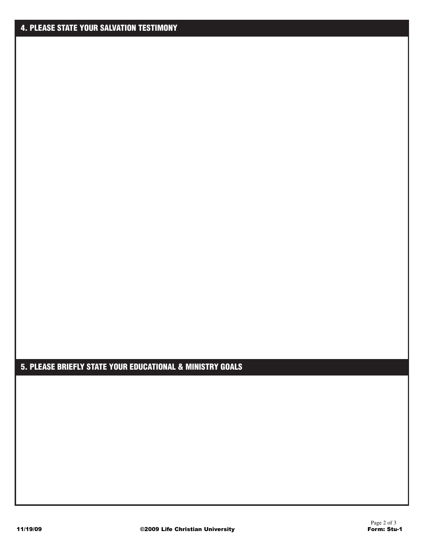### **5. PLEASE BRIEFLY STATE YOUR EDUCATIONAL & MINISTRY GOALS**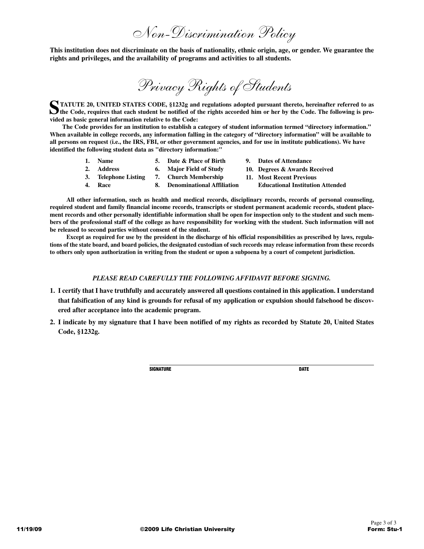*Non-Discrimination Policy*

**This institution does not discriminate on the basis of nationality, ethnic origin, age, or gender. We guarantee the rights and privileges, and the availability of programs and activities to all students.**

*Privacy Rights of Students*

**STATUTE 20, UNITED STATES CODE, §1232g and regulations adopted pursuant thereto, hereinafter referred to as the Code, requires that each student be notified of the rights accorded him or her by the Code. The following is provided as basic general information relative to the Code:**

**The Code provides for an institution to establish a category of student information termed "directory information." When available in college records, any information falling in the category of "directory information" will be available to all persons on request (i.e., the IRS, FBI, or other government agencies, and for use in institute publications). We have identified the following student data as "directory information:"**

> **1. Name 2. Address 3. Telephone Listing 4. Race 5. Date & Place of Birth 6. Major Field of Study 7. Church Membership 8. Denominational Affiliation 9. Dates of Attendance 10. Degrees & Awards Received 11. Most Recent Previous Educational Institution Attended**

**All other information, such as health and medical records, disciplinary records, records of personal counseling, required student and family financial income records, transcripts or student permanent academic records, student placement records and other personally identifiable information shall be open for inspection only to the student and such members of the professional staff of the college as have responsibility for working with the student. Such information will not be released to second parties without consent of the student.**

**Except as required for use by the president in the discharge of his official responsibilities as prescribed by laws, regulations of the state board, and board policies, the designated custodian of such records may release information from these records to others only upon authorization in writing from the student or upon a subpoena by a court of competent jurisdiction.**

#### *PLEASE READ CAREFULLY THE FOLLOWING AFFIDAVIT BEFORE SIGNING.*

- **1. I certify that I have truthfully and accurately answered all questions contained in this application. I understand that falsification of any kind is grounds for refusal of my application or expulsion should falsehood be discovered after acceptance into the academic program.**
- **2. I indicate by my signature that I have been notified of my rights as recorded by Statute 20, United States Code, §1232g.**

**SIGNATURE DATE**